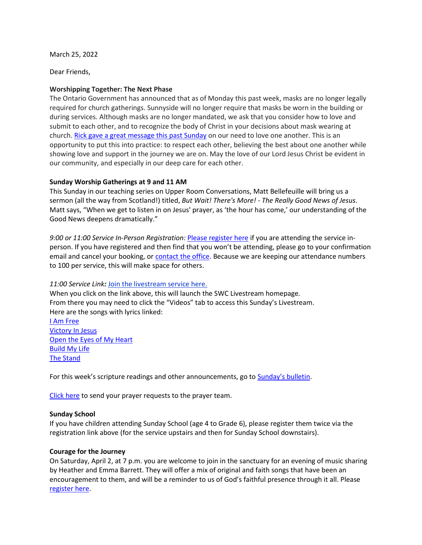March 25, 2022

Dear Friends,

# **Worshipping Together: The Next Phase**

The Ontario Government has announced that as of Monday this past week, masks are no longer legally required for church gatherings. Sunnyside will no longer require that masks be worn in the building or during services. Although masks are no longer mandated, we ask that you consider how to love and submit to each other, and to recognize the body of Christ in your decisions about mask wearing at church[. Rick gave a great message this past Sunday](http://www.sunnysidechurch.ca/20220320-discerning-the-body-of-christ/) on our need to love one another. This is an opportunity to put this into practice: to respect each other, believing the best about one another while showing love and support in the journey we are on. May the love of our Lord Jesus Christ be evident in our community, and especially in our deep care for each other.

## **Sunday Worship Gatherings at 9 and 11 AM**

This Sunday in our teaching series on Upper Room Conversations, Matt Bellefeuille will bring us a sermon (all the way from Scotland!) titled, *But Wait! There's More! - The Really Good News of Jesus*. Matt says, "When we get to listen in on Jesus' prayer, as 'the hour has come,' our understanding of the Good News deepens dramatically."

*9:00 or 11:00 Service In-Person Registration:* [Please register here](https://rsvp.church/r/gedIlGjG) if you are attending the service inperson. If you have registered and then find that you won't be attending, please go to your confirmation email and cancel your booking, or **contact the office**. Because we are keeping our attendance numbers to 100 per service, this will make space for others.

### *11:00 Service Link:* [Join the livestream service here.](https://www.youtube.com/channel/UCYfl9Qy37Az7fqqFQpDEwjg)

When you click on the link above, this will launch the SWC Livestream homepage. From there you may need to click the "Videos" tab to access this Sunday's Livestream. Here are the songs with lyrics linked: [I Am Free](https://genius.com/New-life-worship-i-am-free-lyrics) [Victory In Jesus](https://saoshawa.ca/victory-in-jesus/) [Open the Eyes of My Heart](https://www.azlyrics.com/lyrics/paulbaloche/opentheeyesofmyheart.html)

[Build My Life](https://bethelmusic.com/chords-and-lyrics/build-my-life/) [The Stand](https://www.lyrics.com/lyric/31793235/Hillsong/The+Stand)

For this week's scripture readings and other announcements, go t[o Sunday's bulletin](http://www.sunnysidechurch.ca/wp/wp-content/uploads/20220327.pdf).

[Click here](mailto:prayer@sunnysidechurch.ca) to send your prayer requests to the prayer team.

### **Sunday School**

If you have children attending Sunday School (age 4 to Grade 6), please register them twice via the registration link above (for the service upstairs and then for Sunday School downstairs).

### **Courage for the Journey**

On Saturday, April 2, at 7 p.m. you are welcome to join in the sanctuary for an evening of music sharing by Heather and Emma Barrett. They will offer a mix of original and faith songs that have been an encouragement to them, and will be a reminder to us of God's faithful presence through it all. Please [register here.](https://rsvp.church/r/gedIlGjG)